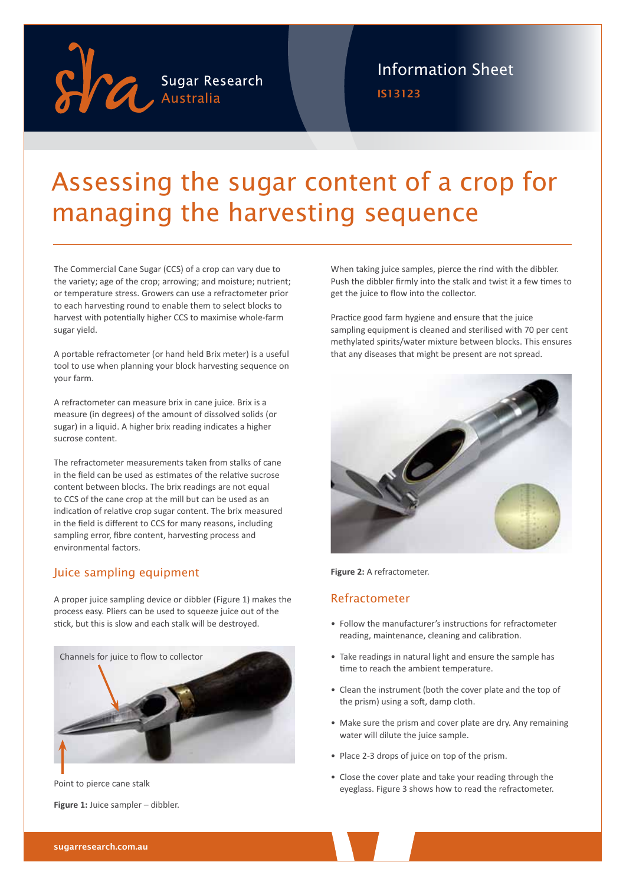

IS13123 Information Sheet

## Assessing the sugar content of a crop for managing the harvesting sequence

The Commercial Cane Sugar (CCS) of a crop can vary due to the variety; age of the crop; arrowing; and moisture; nutrient; or temperature stress. Growers can use a refractometer prior to each harvesting round to enable them to select blocks to harvest with potentially higher CCS to maximise whole-farm sugar yield.

A portable refractometer (or hand held Brix meter) is a useful tool to use when planning your block harvesting sequence on your farm.

A refractometer can measure brix in cane juice. Brix is a measure (in degrees) of the amount of dissolved solids (or sugar) in a liquid. A higher brix reading indicates a higher sucrose content.

The refractometer measurements taken from stalks of cane in the field can be used as estimates of the relative sucrose content between blocks. The brix readings are not equal to CCS of the cane crop at the mill but can be used as an indication of relative crop sugar content. The brix measured in the field is different to CCS for many reasons, including sampling error, fibre content, harvesting process and environmental factors.

### Juice sampling equipment

A proper juice sampling device or dibbler (Figure 1) makes the process easy. Pliers can be used to squeeze juice out of the stick, but this is slow and each stalk will be destroyed.



**Figure 1:** Juice sampler – dibbler.

When taking juice samples, pierce the rind with the dibbler. Push the dibbler firmly into the stalk and twist it a few times to get the juice to flow into the collector.

Practice good farm hygiene and ensure that the juice sampling equipment is cleaned and sterilised with 70 per cent methylated spirits/water mixture between blocks. This ensures that any diseases that might be present are not spread.



**Figure 2:** A refractometer.

### Refractometer

- Follow the manufacturer's instructions for refractometer reading, maintenance, cleaning and calibration.
- Take readings in natural light and ensure the sample has time to reach the ambient temperature.
- Clean the instrument (both the cover plate and the top of the prism) using a soft, damp cloth.
- Make sure the prism and cover plate are dry. Any remaining water will dilute the juice sample.
- Place 2-3 drops of juice on top of the prism.
- Close the cover plate and take your reading through the Point to pierce cane stalk<br>eyeglass. Figure 3 shows how to read the refractometer.